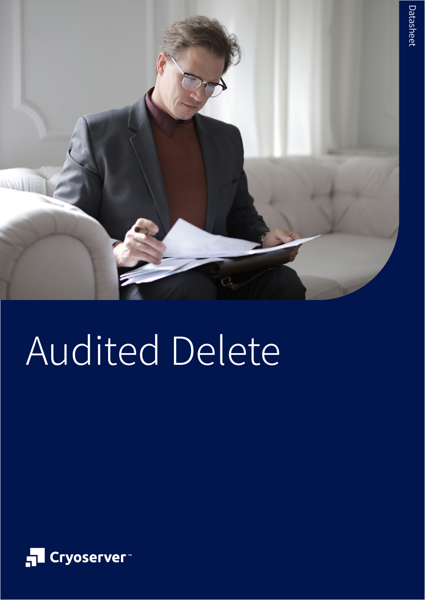

# Audited Delete

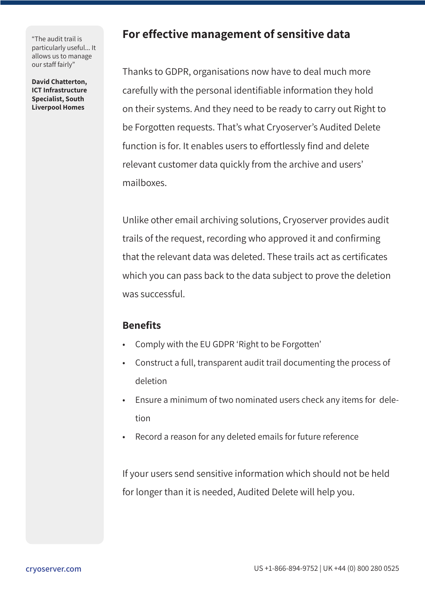"The audit trail is particularly useful... It allows us to manage our staff fairly"

**David Chatterton, ICT Infrastructure Specialist, South Liverpool Homes**

# **For effective management of sensitive data**

Thanks to GDPR, organisations now have to deal much more carefully with the personal identifiable information they hold on their systems. And they need to be ready to carry out Right to be Forgotten requests. That's what Cryoserver's Audited Delete function is for. It enables users to effortlessly find and delete relevant customer data quickly from the archive and users' mailboxes.

Unlike other email archiving solutions, Cryoserver provides audit trails of the request, recording who approved it and confirming that the relevant data was deleted. These trails act as certificates which you can pass back to the data subject to prove the deletion was successful.

## **Benefits**

- Comply with the EU GDPR 'Right to be Forgotten'
- Construct a full, transparent audit trail documenting the process of deletion
- Ensure a minimum of two nominated users check any items for deletion
- Record a reason for any deleted emails for future reference

If your users send sensitive information which should not be held for longer than it is needed, Audited Delete will help you.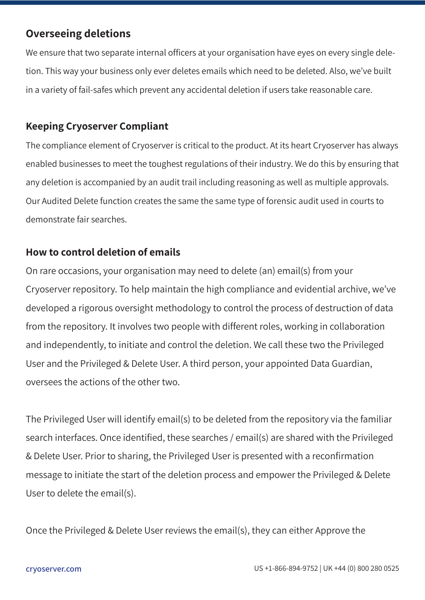# **Overseeing deletions**

We ensure that two separate internal officers at your organisation have eyes on every single deletion. This way your business only ever deletes emails which need to be deleted. Also, we've built in a variety of fail-safes which prevent any accidental deletion if users take reasonable care.

### **Keeping Cryoserver Compliant**

The compliance element of Cryoserver is critical to the product. At its heart Cryoserver has always enabled businesses to meet the toughest regulations of their industry. We do this by ensuring that any deletion is accompanied by an audit trail including reasoning as well as multiple approvals. Our Audited Delete function creates the same the same type of forensic audit used in courts to demonstrate fair searches.

#### **How to control deletion of emails**

On rare occasions, your organisation may need to delete (an) email(s) from your Cryoserver repository. To help maintain the high compliance and evidential archive, we've developed a rigorous oversight methodology to control the process of destruction of data from the repository. It involves two people with different roles, working in collaboration and independently, to initiate and control the deletion. We call these two the Privileged User and the Privileged & Delete User. A third person, your appointed Data Guardian, oversees the actions of the other two.

The Privileged User will identify email(s) to be deleted from the repository via the familiar search interfaces. Once identified, these searches / email(s) are shared with the Privileged & Delete User. Prior to sharing, the Privileged User is presented with a reconfirmation message to initiate the start of the deletion process and empower the Privileged & Delete User to delete the email(s).

Once the Privileged & Delete User reviews the email(s), they can either Approve the